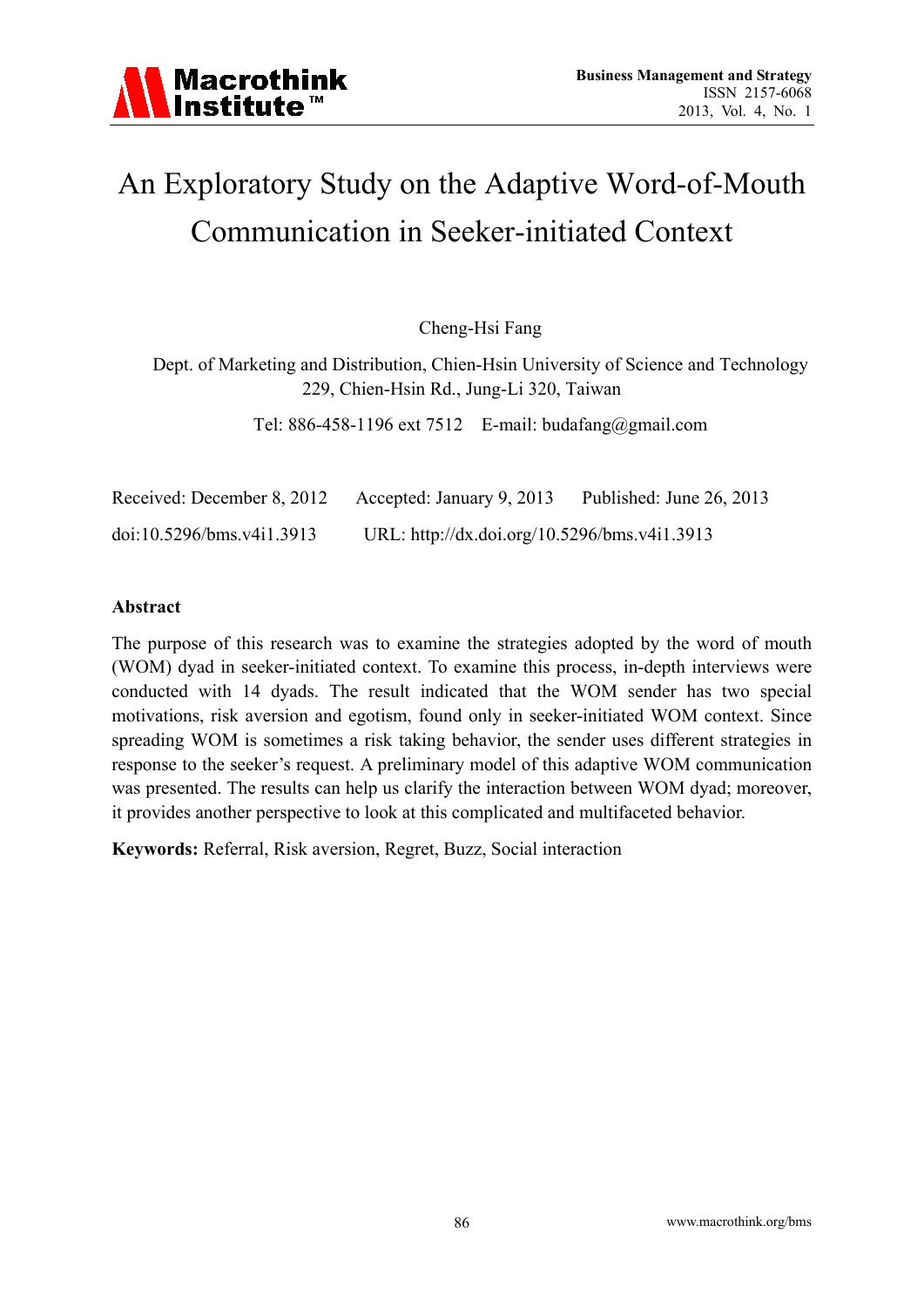# An Exploratory Study on the Adaptive Word-of-Mouth Communication in Seeker-initiated Context

Cheng-Hsi Fang

Dept. of Marketing and Distribution, Chien-Hsin University of Science and Technology 229, Chien-Hsin Rd., Jung-Li 320, Taiwan

Tel: 886-458-1196 ext 7512 E-mail: budafang@gmail.com

| Received: December 8, 2012 | Accepted: January 9, 2013                    | Published: June 26, 2013 |
|----------------------------|----------------------------------------------|--------------------------|
| doi:10.5296/bms.v411.3913  | URL: http://dx.doi.org/10.5296/bms.v4i1.3913 |                          |

## **Abstract**

The purpose of this research was to examine the strategies adopted by the word of mouth (WOM) dyad in seeker-initiated context. To examine this process, in-depth interviews were conducted with 14 dyads. The result indicated that the WOM sender has two special motivations, risk aversion and egotism, found only in seeker-initiated WOM context. Since spreading WOM is sometimes a risk taking behavior, the sender uses different strategies in response to the seeker's request. A preliminary model of this adaptive WOM communication was presented. The results can help us clarify the interaction between WOM dyad; moreover, it provides another perspective to look at this complicated and multifaceted behavior.

**Keywords:** Referral, Risk aversion, Regret, Buzz, Social interaction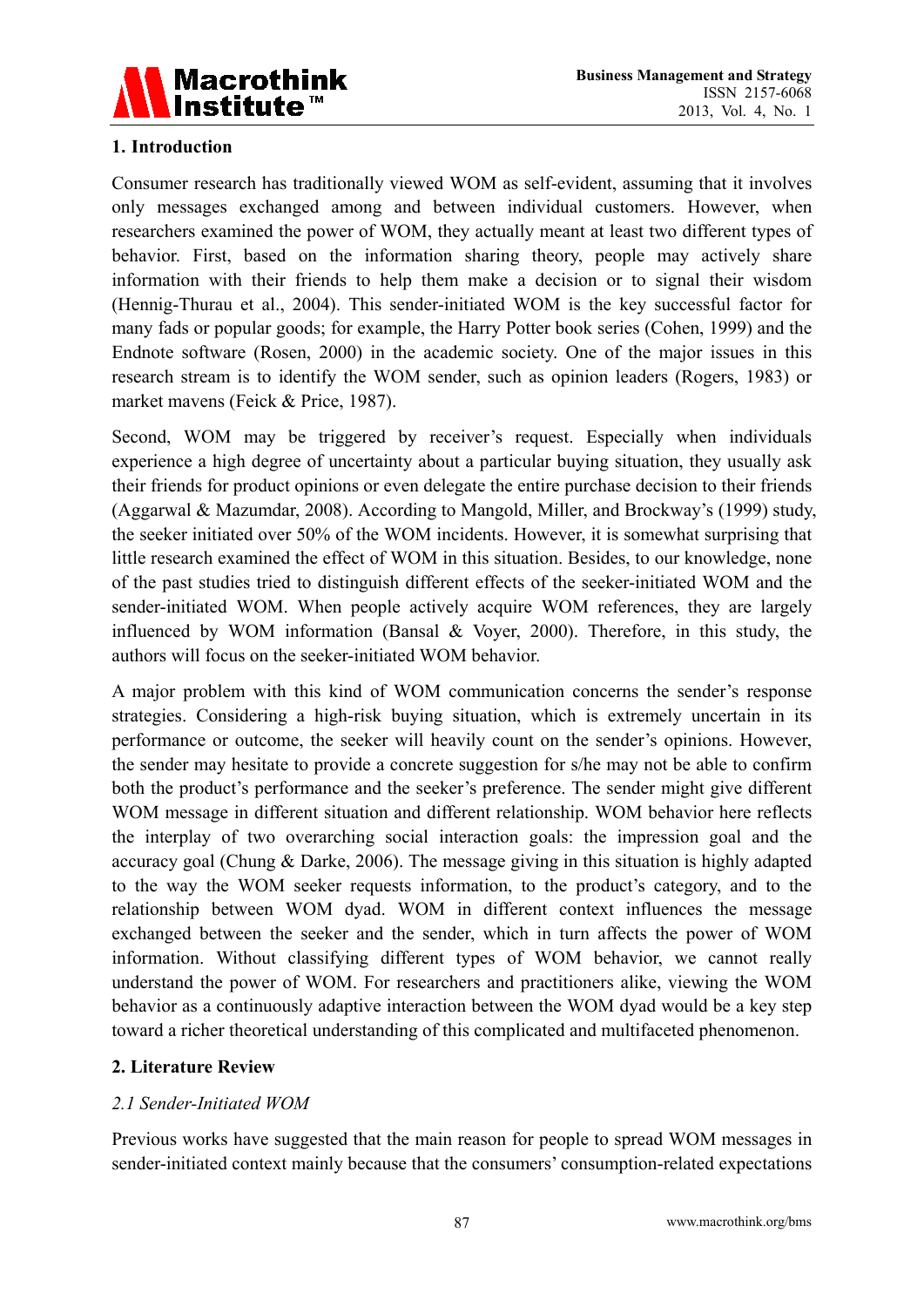

## **1. Introduction**

Consumer research has traditionally viewed WOM as self-evident, assuming that it involves only messages exchanged among and between individual customers. However, when researchers examined the power of WOM, they actually meant at least two different types of behavior. First, based on the information sharing theory, people may actively share information with their friends to help them make a decision or to signal their wisdom (Hennig-Thurau et al., 2004). This sender-initiated WOM is the key successful factor for many fads or popular goods; for example, the Harry Potter book series (Cohen, 1999) and the Endnote software (Rosen, 2000) in the academic society. One of the major issues in this research stream is to identify the WOM sender, such as opinion leaders (Rogers, 1983) or market mavens (Feick & Price, 1987).

Second, WOM may be triggered by receiver's request. Especially when individuals experience a high degree of uncertainty about a particular buying situation, they usually ask their friends for product opinions or even delegate the entire purchase decision to their friends (Aggarwal & Mazumdar, 2008). According to Mangold, Miller, and Brockway's (1999) study, the seeker initiated over 50% of the WOM incidents. However, it is somewhat surprising that little research examined the effect of WOM in this situation. Besides, to our knowledge, none of the past studies tried to distinguish different effects of the seeker-initiated WOM and the sender-initiated WOM. When people actively acquire WOM references, they are largely influenced by WOM information (Bansal & Voyer, 2000). Therefore, in this study, the authors will focus on the seeker-initiated WOM behavior.

A major problem with this kind of WOM communication concerns the sender's response strategies. Considering a high-risk buying situation, which is extremely uncertain in its performance or outcome, the seeker will heavily count on the sender's opinions. However, the sender may hesitate to provide a concrete suggestion for s/he may not be able to confirm both the product's performance and the seeker's preference. The sender might give different WOM message in different situation and different relationship. WOM behavior here reflects the interplay of two overarching social interaction goals: the impression goal and the accuracy goal (Chung & Darke, 2006). The message giving in this situation is highly adapted to the way the WOM seeker requests information, to the product's category, and to the relationship between WOM dyad. WOM in different context influences the message exchanged between the seeker and the sender, which in turn affects the power of WOM information. Without classifying different types of WOM behavior, we cannot really understand the power of WOM. For researchers and practitioners alike, viewing the WOM behavior as a continuously adaptive interaction between the WOM dyad would be a key step toward a richer theoretical understanding of this complicated and multifaceted phenomenon.

## **2. Literature Review**

## *2.1 Sender-Initiated WOM*

Previous works have suggested that the main reason for people to spread WOM messages in sender-initiated context mainly because that the consumers' consumption-related expectations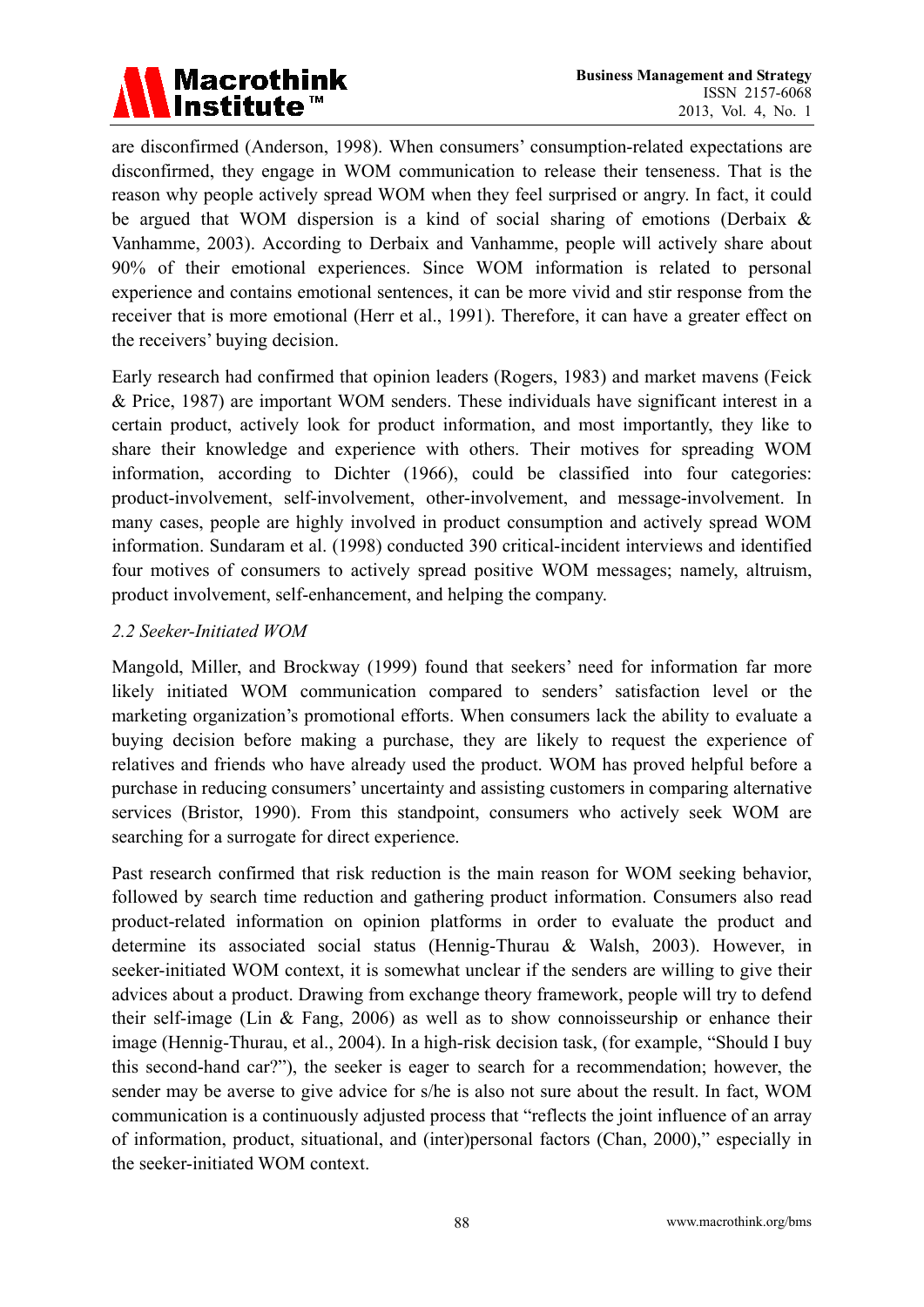

are disconfirmed (Anderson, 1998). When consumers' consumption-related expectations are disconfirmed, they engage in WOM communication to release their tenseness. That is the reason why people actively spread WOM when they feel surprised or angry. In fact, it could be argued that WOM dispersion is a kind of social sharing of emotions (Derbaix & Vanhamme, 2003). According to Derbaix and Vanhamme, people will actively share about 90% of their emotional experiences. Since WOM information is related to personal experience and contains emotional sentences, it can be more vivid and stir response from the receiver that is more emotional (Herr et al., 1991). Therefore, it can have a greater effect on the receivers' buying decision.

Early research had confirmed that opinion leaders (Rogers, 1983) and market mavens (Feick & Price, 1987) are important WOM senders. These individuals have significant interest in a certain product, actively look for product information, and most importantly, they like to share their knowledge and experience with others. Their motives for spreading WOM information, according to Dichter (1966), could be classified into four categories: product-involvement, self-involvement, other-involvement, and message-involvement. In many cases, people are highly involved in product consumption and actively spread WOM information. Sundaram et al. (1998) conducted 390 critical-incident interviews and identified four motives of consumers to actively spread positive WOM messages; namely, altruism, product involvement, self-enhancement, and helping the company.

#### *2.2 Seeker-Initiated WOM*

Mangold, Miller, and Brockway (1999) found that seekers' need for information far more likely initiated WOM communication compared to senders' satisfaction level or the marketing organization's promotional efforts. When consumers lack the ability to evaluate a buying decision before making a purchase, they are likely to request the experience of relatives and friends who have already used the product. WOM has proved helpful before a purchase in reducing consumers' uncertainty and assisting customers in comparing alternative services (Bristor, 1990). From this standpoint, consumers who actively seek WOM are searching for a surrogate for direct experience.

Past research confirmed that risk reduction is the main reason for WOM seeking behavior, followed by search time reduction and gathering product information. Consumers also read product-related information on opinion platforms in order to evaluate the product and determine its associated social status (Hennig-Thurau & Walsh, 2003). However, in seeker-initiated WOM context, it is somewhat unclear if the senders are willing to give their advices about a product. Drawing from exchange theory framework, people will try to defend their self-image (Lin & Fang, 2006) as well as to show connoisseurship or enhance their image (Hennig-Thurau, et al., 2004). In a high-risk decision task, (for example, "Should I buy this second-hand car?"), the seeker is eager to search for a recommendation; however, the sender may be averse to give advice for s/he is also not sure about the result. In fact, WOM communication is a continuously adjusted process that "reflects the joint influence of an array of information, product, situational, and (inter)personal factors (Chan, 2000)," especially in the seeker-initiated WOM context.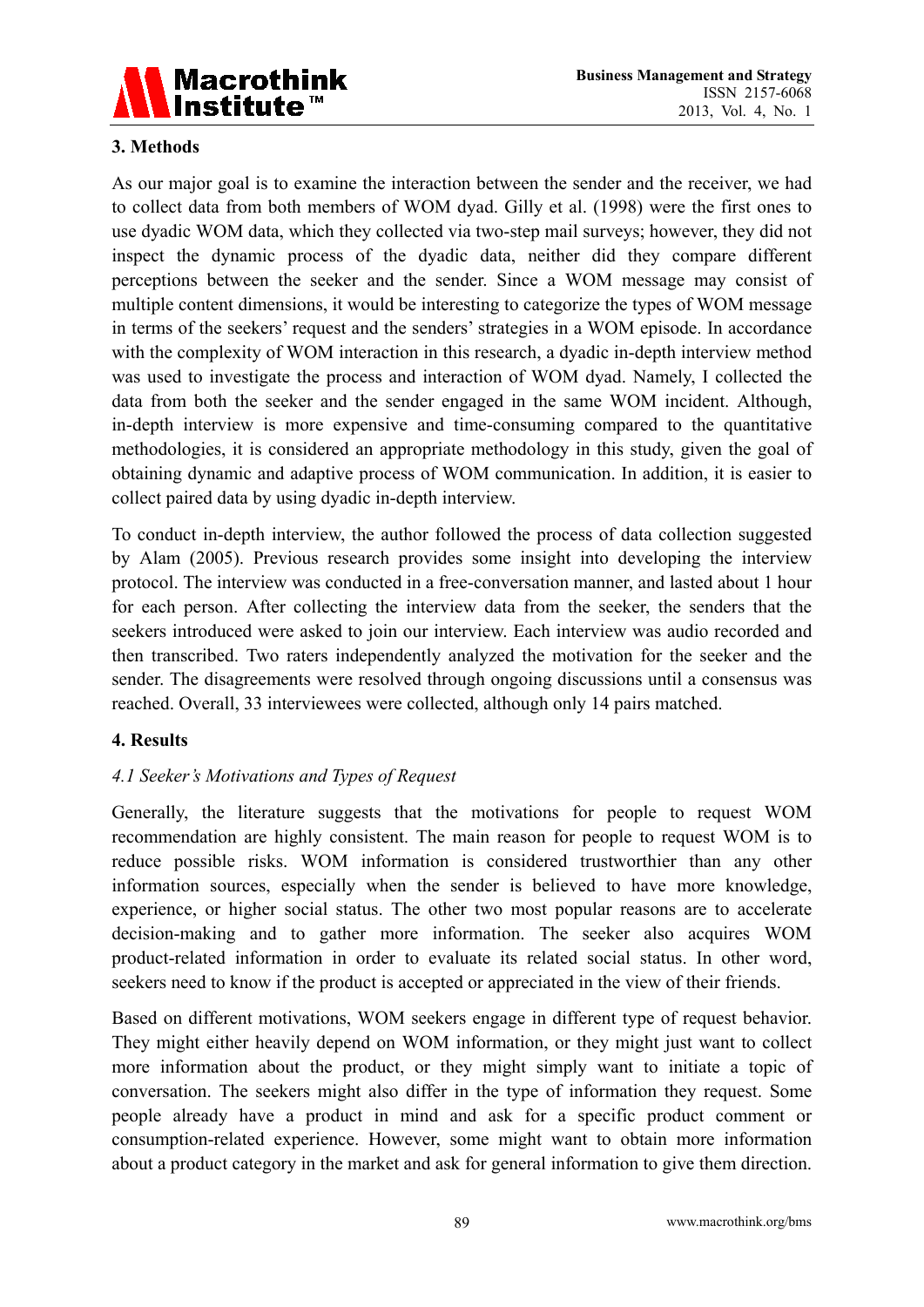

## **3. Methods**

As our major goal is to examine the interaction between the sender and the receiver, we had to collect data from both members of WOM dyad. Gilly et al. (1998) were the first ones to use dyadic WOM data, which they collected via two-step mail surveys; however, they did not inspect the dynamic process of the dyadic data, neither did they compare different perceptions between the seeker and the sender. Since a WOM message may consist of multiple content dimensions, it would be interesting to categorize the types of WOM message in terms of the seekers' request and the senders' strategies in a WOM episode. In accordance with the complexity of WOM interaction in this research, a dyadic in-depth interview method was used to investigate the process and interaction of WOM dyad. Namely, I collected the data from both the seeker and the sender engaged in the same WOM incident. Although, in-depth interview is more expensive and time-consuming compared to the quantitative methodologies, it is considered an appropriate methodology in this study, given the goal of obtaining dynamic and adaptive process of WOM communication. In addition, it is easier to collect paired data by using dyadic in-depth interview.

To conduct in-depth interview, the author followed the process of data collection suggested by Alam (2005). Previous research provides some insight into developing the interview protocol. The interview was conducted in a free-conversation manner, and lasted about 1 hour for each person. After collecting the interview data from the seeker, the senders that the seekers introduced were asked to join our interview. Each interview was audio recorded and then transcribed. Two raters independently analyzed the motivation for the seeker and the sender. The disagreements were resolved through ongoing discussions until a consensus was reached. Overall, 33 interviewees were collected, although only 14 pairs matched.

## **4. Results**

## *4.1 Seeker's Motivations and Types of Request*

Generally, the literature suggests that the motivations for people to request WOM recommendation are highly consistent. The main reason for people to request WOM is to reduce possible risks. WOM information is considered trustworthier than any other information sources, especially when the sender is believed to have more knowledge, experience, or higher social status. The other two most popular reasons are to accelerate decision-making and to gather more information. The seeker also acquires WOM product-related information in order to evaluate its related social status. In other word, seekers need to know if the product is accepted or appreciated in the view of their friends.

Based on different motivations, WOM seekers engage in different type of request behavior. They might either heavily depend on WOM information, or they might just want to collect more information about the product, or they might simply want to initiate a topic of conversation. The seekers might also differ in the type of information they request. Some people already have a product in mind and ask for a specific product comment or consumption-related experience. However, some might want to obtain more information about a product category in the market and ask for general information to give them direction.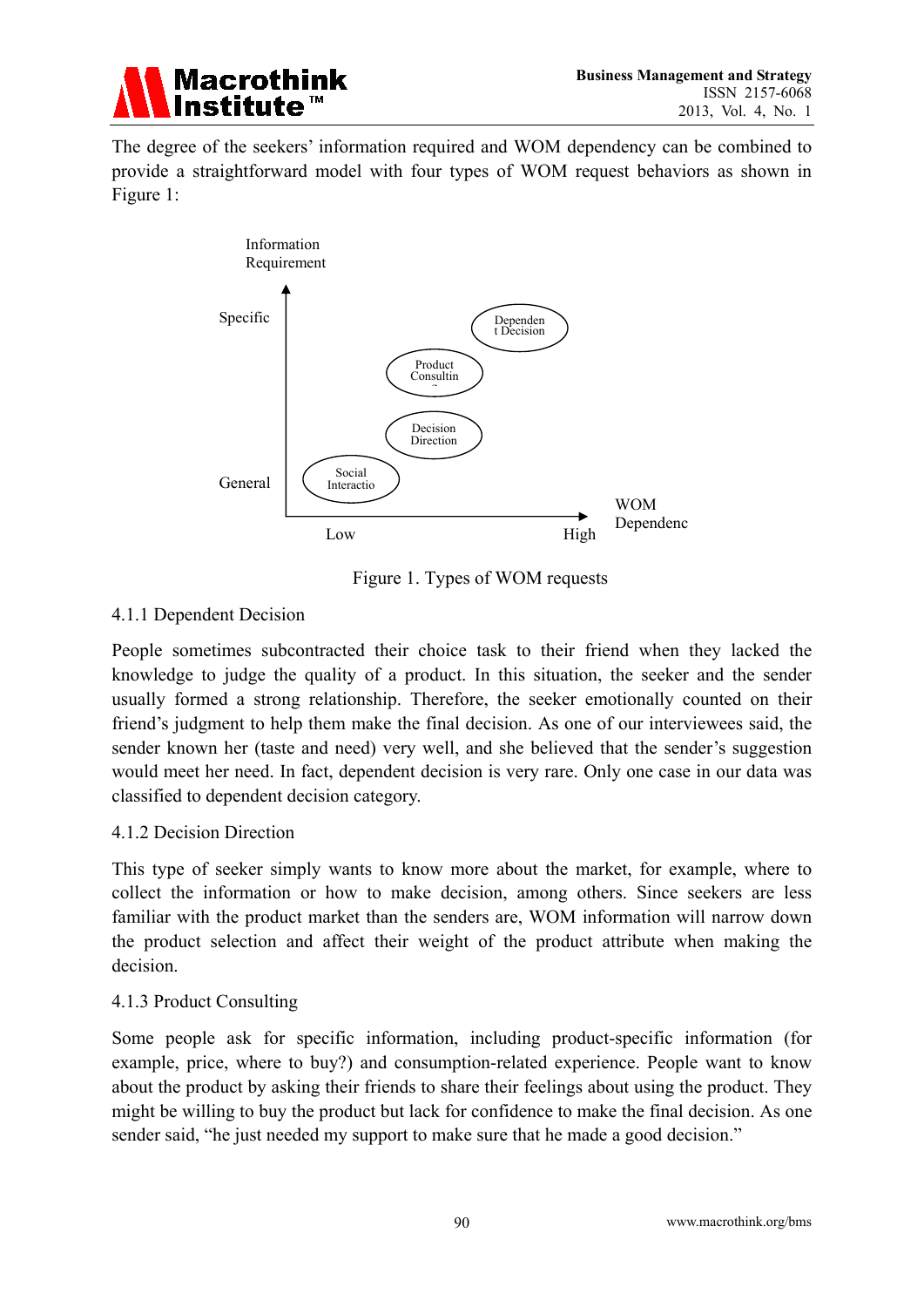

The degree of the seekers' information required and WOM dependency can be combined to provide a straightforward model with four types of WOM request behaviors as shown in Figure 1:



Figure 1. Types of WOM requests

## 4.1.1 Dependent Decision

People sometimes subcontracted their choice task to their friend when they lacked the knowledge to judge the quality of a product. In this situation, the seeker and the sender usually formed a strong relationship. Therefore, the seeker emotionally counted on their friend's judgment to help them make the final decision. As one of our interviewees said, the sender known her (taste and need) very well, and she believed that the sender's suggestion would meet her need. In fact, dependent decision is very rare. Only one case in our data was classified to dependent decision category.

## 4.1.2 Decision Direction

This type of seeker simply wants to know more about the market, for example, where to collect the information or how to make decision, among others. Since seekers are less familiar with the product market than the senders are, WOM information will narrow down the product selection and affect their weight of the product attribute when making the decision.

## 4.1.3 Product Consulting

Some people ask for specific information, including product-specific information (for example, price, where to buy?) and consumption-related experience. People want to know about the product by asking their friends to share their feelings about using the product. They might be willing to buy the product but lack for confidence to make the final decision. As one sender said, "he just needed my support to make sure that he made a good decision."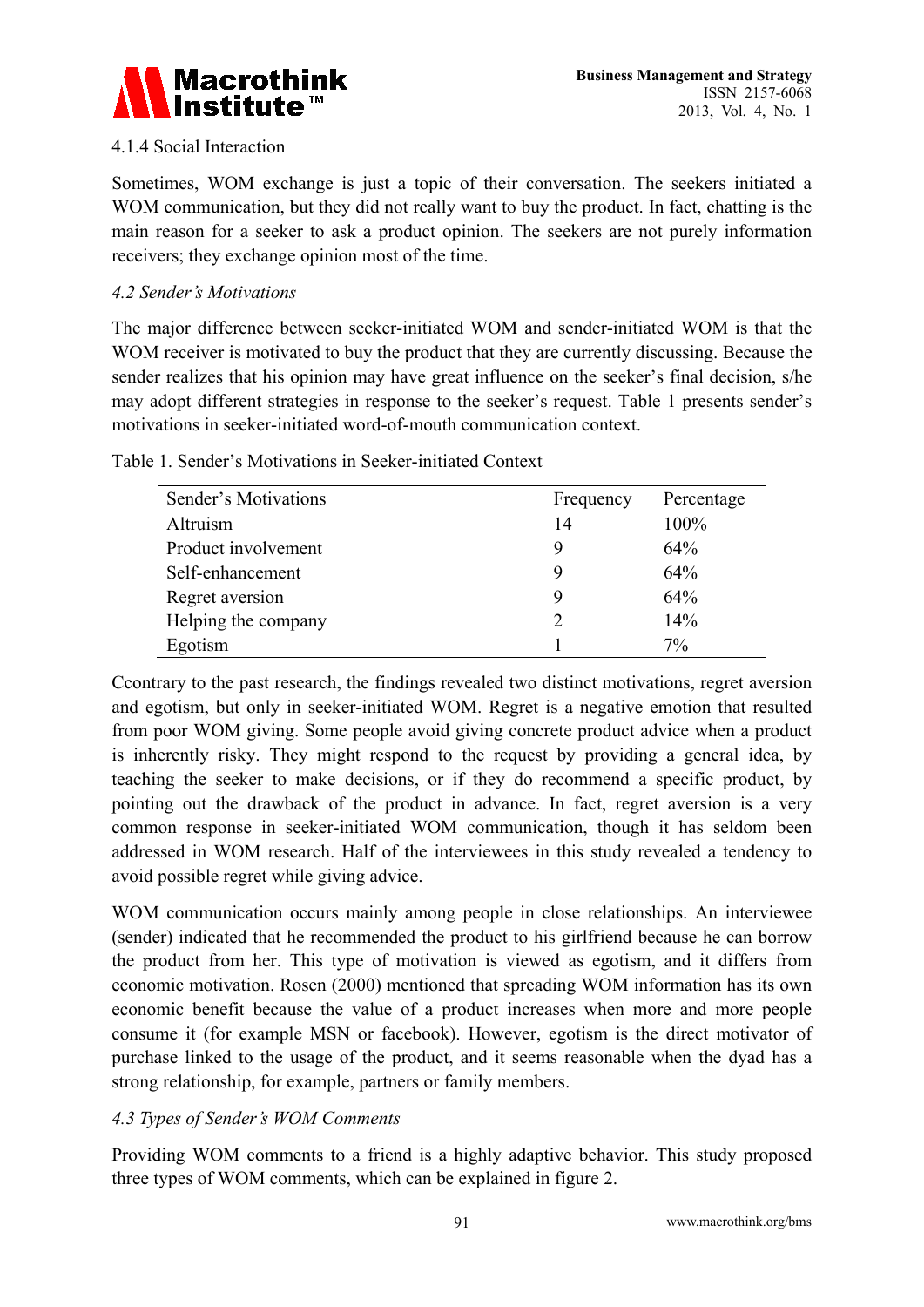

## 4.1.4 Social Interaction

Sometimes, WOM exchange is just a topic of their conversation. The seekers initiated a WOM communication, but they did not really want to buy the product. In fact, chatting is the main reason for a seeker to ask a product opinion. The seekers are not purely information receivers; they exchange opinion most of the time.

## *4.2 Sender's Motivations*

The major difference between seeker-initiated WOM and sender-initiated WOM is that the WOM receiver is motivated to buy the product that they are currently discussing. Because the sender realizes that his opinion may have great influence on the seeker's final decision, s/he may adopt different strategies in response to the seeker's request. Table 1 presents sender's motivations in seeker-initiated word-of-mouth communication context.

| Sender's Motivations | Frequency | Percentage |
|----------------------|-----------|------------|
| Altruism             | 14        | 100%       |
| Product involvement  | 9         | 64%        |
| Self-enhancement     | 9         | 64%        |
| Regret aversion      | 9         | 64%        |
| Helping the company  | 2         | 14%        |
| Egotism              |           | $7\%$      |

Table 1. Sender's Motivations in Seeker-initiated Context

Ccontrary to the past research, the findings revealed two distinct motivations, regret aversion and egotism, but only in seeker-initiated WOM. Regret is a negative emotion that resulted from poor WOM giving. Some people avoid giving concrete product advice when a product is inherently risky. They might respond to the request by providing a general idea, by teaching the seeker to make decisions, or if they do recommend a specific product, by pointing out the drawback of the product in advance. In fact, regret aversion is a very common response in seeker-initiated WOM communication, though it has seldom been addressed in WOM research. Half of the interviewees in this study revealed a tendency to avoid possible regret while giving advice.

WOM communication occurs mainly among people in close relationships. An interviewee (sender) indicated that he recommended the product to his girlfriend because he can borrow the product from her. This type of motivation is viewed as egotism, and it differs from economic motivation. Rosen (2000) mentioned that spreading WOM information has its own economic benefit because the value of a product increases when more and more people consume it (for example MSN or facebook). However, egotism is the direct motivator of purchase linked to the usage of the product, and it seems reasonable when the dyad has a strong relationship, for example, partners or family members.

# *4.3 Types of Sender's WOM Comments*

Providing WOM comments to a friend is a highly adaptive behavior. This study proposed three types of WOM comments, which can be explained in figure 2.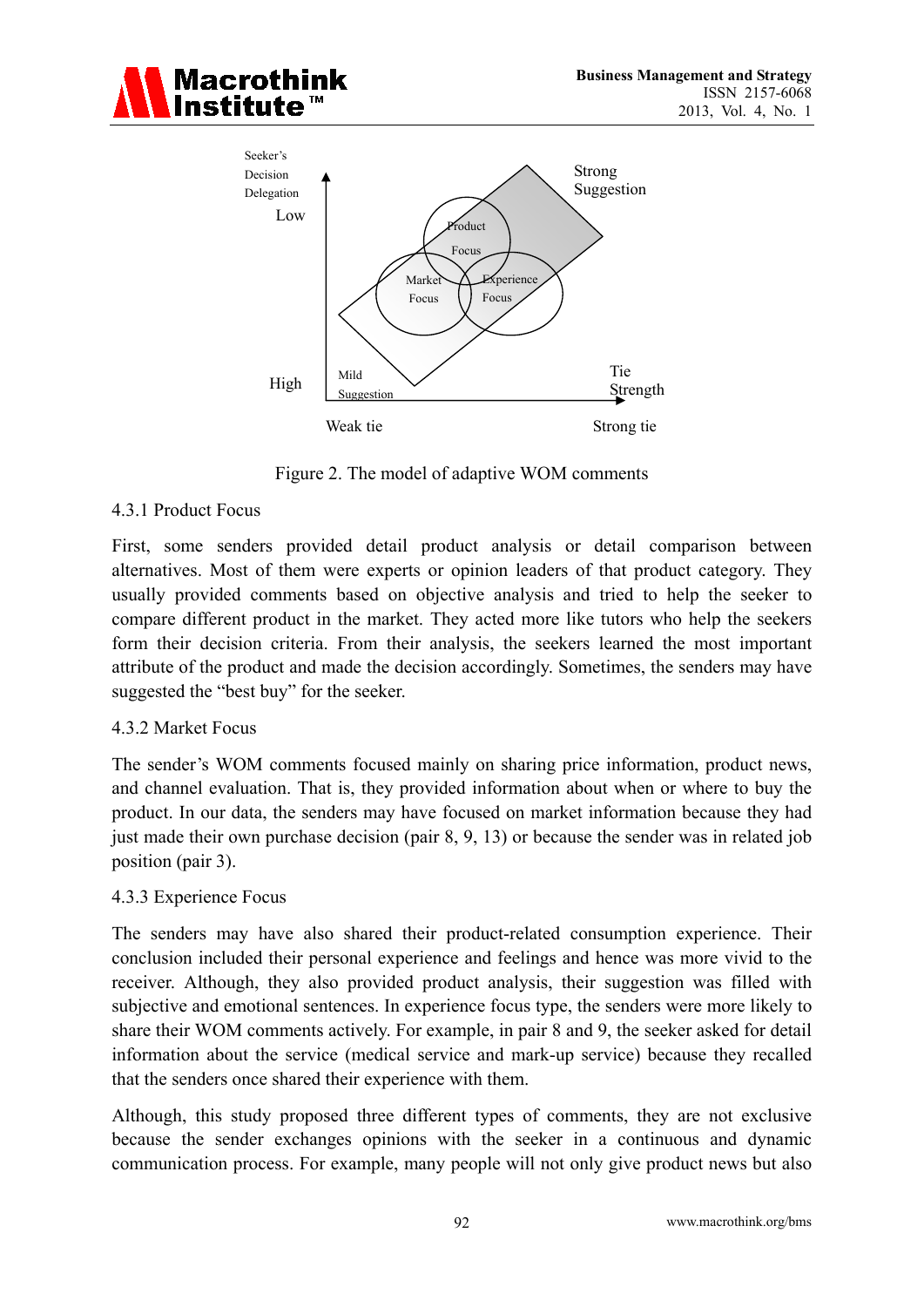



Figure 2. The model of adaptive WOM comments

## 4.3.1 Product Focus

First, some senders provided detail product analysis or detail comparison between alternatives. Most of them were experts or opinion leaders of that product category. They usually provided comments based on objective analysis and tried to help the seeker to compare different product in the market. They acted more like tutors who help the seekers form their decision criteria. From their analysis, the seekers learned the most important attribute of the product and made the decision accordingly. Sometimes, the senders may have suggested the "best buy" for the seeker.

## 4.3.2 Market Focus

The sender's WOM comments focused mainly on sharing price information, product news, and channel evaluation. That is, they provided information about when or where to buy the product. In our data, the senders may have focused on market information because they had just made their own purchase decision (pair 8, 9, 13) or because the sender was in related job position (pair 3).

## 4.3.3 Experience Focus

The senders may have also shared their product-related consumption experience. Their conclusion included their personal experience and feelings and hence was more vivid to the receiver. Although, they also provided product analysis, their suggestion was filled with subjective and emotional sentences. In experience focus type, the senders were more likely to share their WOM comments actively. For example, in pair 8 and 9, the seeker asked for detail information about the service (medical service and mark-up service) because they recalled that the senders once shared their experience with them.

Although, this study proposed three different types of comments, they are not exclusive because the sender exchanges opinions with the seeker in a continuous and dynamic communication process. For example, many people will not only give product news but also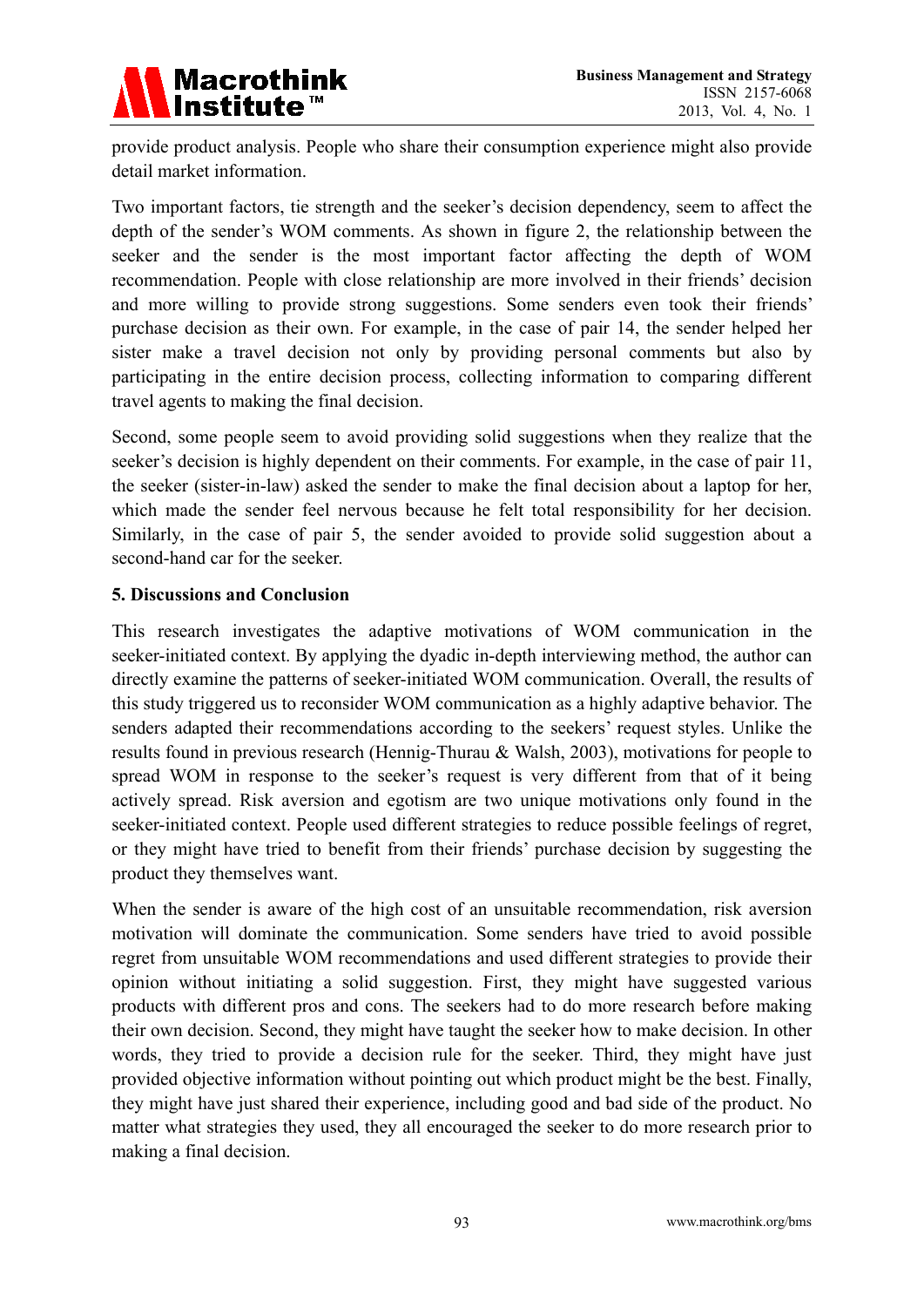

provide product analysis. People who share their consumption experience might also provide detail market information.

Two important factors, tie strength and the seeker's decision dependency, seem to affect the depth of the sender's WOM comments. As shown in figure 2, the relationship between the seeker and the sender is the most important factor affecting the depth of WOM recommendation. People with close relationship are more involved in their friends' decision and more willing to provide strong suggestions. Some senders even took their friends' purchase decision as their own. For example, in the case of pair 14, the sender helped her sister make a travel decision not only by providing personal comments but also by participating in the entire decision process, collecting information to comparing different travel agents to making the final decision.

Second, some people seem to avoid providing solid suggestions when they realize that the seeker's decision is highly dependent on their comments. For example, in the case of pair 11, the seeker (sister-in-law) asked the sender to make the final decision about a laptop for her, which made the sender feel nervous because he felt total responsibility for her decision. Similarly, in the case of pair 5, the sender avoided to provide solid suggestion about a second-hand car for the seeker.

## **5. Discussions and Conclusion**

This research investigates the adaptive motivations of WOM communication in the seeker-initiated context. By applying the dyadic in-depth interviewing method, the author can directly examine the patterns of seeker-initiated WOM communication. Overall, the results of this study triggered us to reconsider WOM communication as a highly adaptive behavior. The senders adapted their recommendations according to the seekers' request styles. Unlike the results found in previous research (Hennig-Thurau & Walsh, 2003), motivations for people to spread WOM in response to the seeker's request is very different from that of it being actively spread. Risk aversion and egotism are two unique motivations only found in the seeker-initiated context. People used different strategies to reduce possible feelings of regret, or they might have tried to benefit from their friends' purchase decision by suggesting the product they themselves want.

When the sender is aware of the high cost of an unsuitable recommendation, risk aversion motivation will dominate the communication. Some senders have tried to avoid possible regret from unsuitable WOM recommendations and used different strategies to provide their opinion without initiating a solid suggestion. First, they might have suggested various products with different pros and cons. The seekers had to do more research before making their own decision. Second, they might have taught the seeker how to make decision. In other words, they tried to provide a decision rule for the seeker. Third, they might have just provided objective information without pointing out which product might be the best. Finally, they might have just shared their experience, including good and bad side of the product. No matter what strategies they used, they all encouraged the seeker to do more research prior to making a final decision.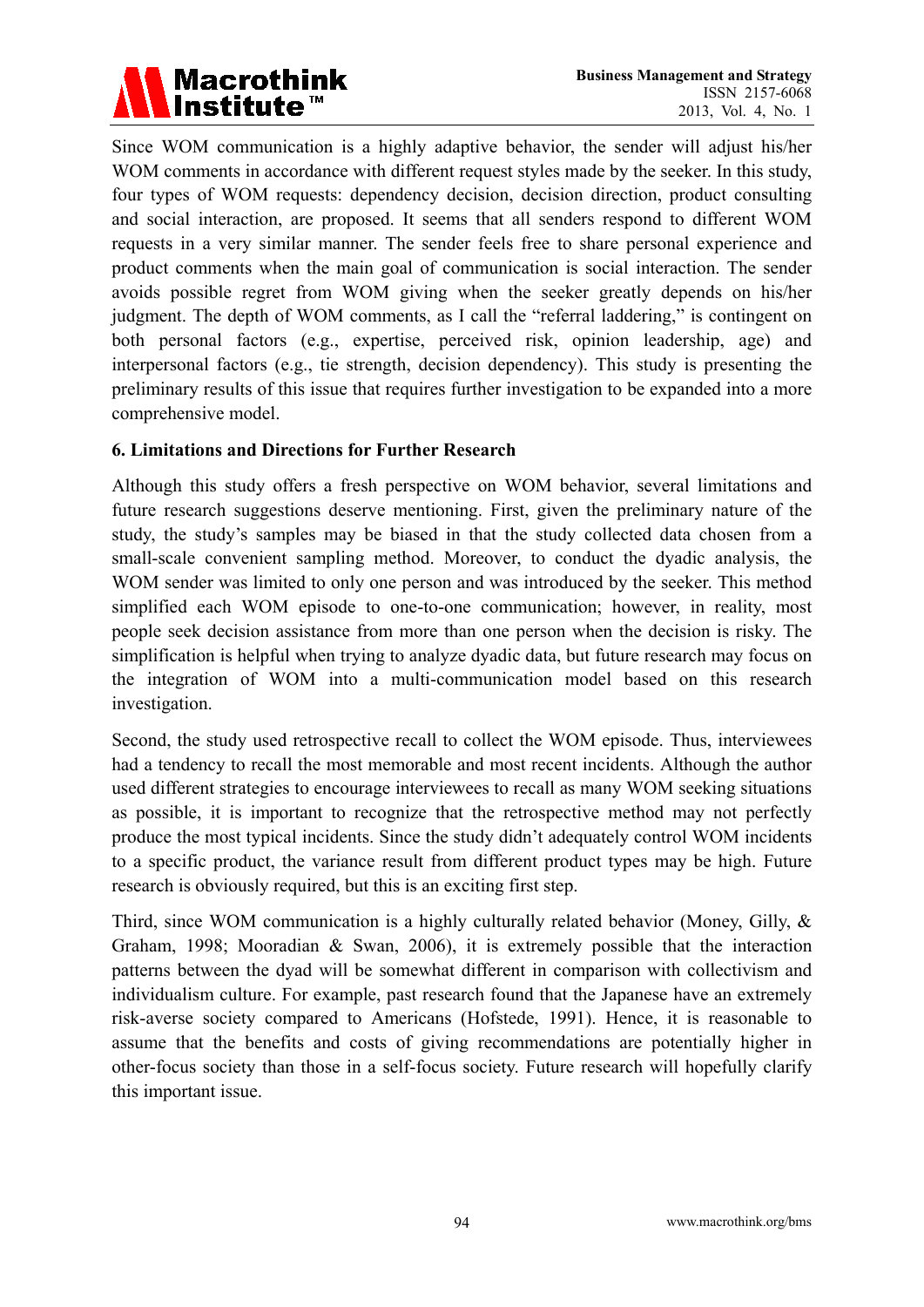

Since WOM communication is a highly adaptive behavior, the sender will adjust his/her WOM comments in accordance with different request styles made by the seeker. In this study, four types of WOM requests: dependency decision, decision direction, product consulting and social interaction, are proposed. It seems that all senders respond to different WOM requests in a very similar manner. The sender feels free to share personal experience and product comments when the main goal of communication is social interaction. The sender avoids possible regret from WOM giving when the seeker greatly depends on his/her judgment. The depth of WOM comments, as I call the "referral laddering," is contingent on both personal factors (e.g., expertise, perceived risk, opinion leadership, age) and interpersonal factors (e.g., tie strength, decision dependency). This study is presenting the preliminary results of this issue that requires further investigation to be expanded into a more comprehensive model.

#### **6. Limitations and Directions for Further Research**

Although this study offers a fresh perspective on WOM behavior, several limitations and future research suggestions deserve mentioning. First, given the preliminary nature of the study, the study's samples may be biased in that the study collected data chosen from a small-scale convenient sampling method. Moreover, to conduct the dyadic analysis, the WOM sender was limited to only one person and was introduced by the seeker. This method simplified each WOM episode to one-to-one communication; however, in reality, most people seek decision assistance from more than one person when the decision is risky. The simplification is helpful when trying to analyze dyadic data, but future research may focus on the integration of WOM into a multi-communication model based on this research investigation.

Second, the study used retrospective recall to collect the WOM episode. Thus, interviewees had a tendency to recall the most memorable and most recent incidents. Although the author used different strategies to encourage interviewees to recall as many WOM seeking situations as possible, it is important to recognize that the retrospective method may not perfectly produce the most typical incidents. Since the study didn't adequately control WOM incidents to a specific product, the variance result from different product types may be high. Future research is obviously required, but this is an exciting first step.

Third, since WOM communication is a highly culturally related behavior (Money, Gilly, & Graham, 1998; Mooradian & Swan, 2006), it is extremely possible that the interaction patterns between the dyad will be somewhat different in comparison with collectivism and individualism culture. For example, past research found that the Japanese have an extremely risk-averse society compared to Americans (Hofstede, 1991). Hence, it is reasonable to assume that the benefits and costs of giving recommendations are potentially higher in other-focus society than those in a self-focus society. Future research will hopefully clarify this important issue.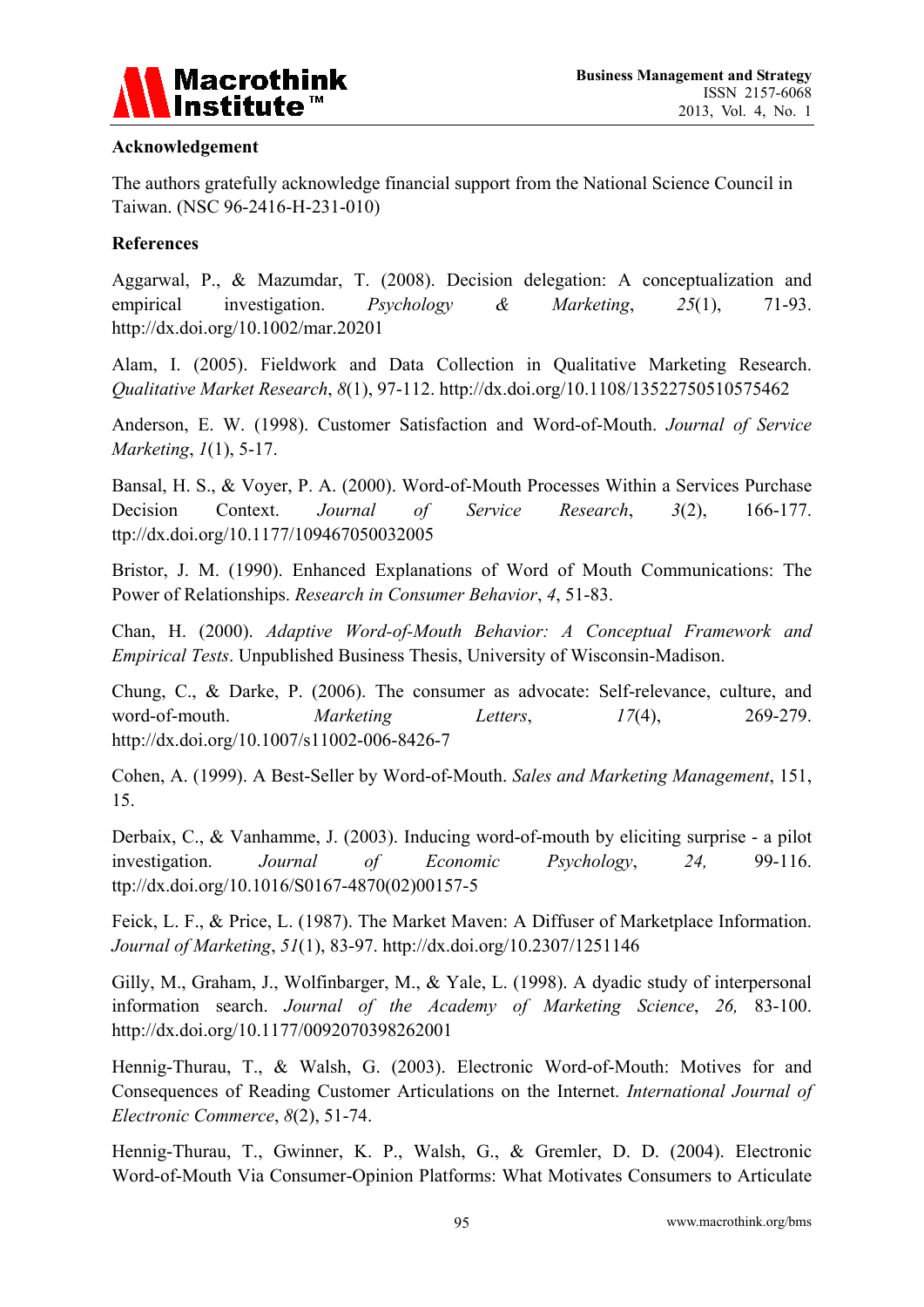

## **Acknowledgement**

The authors gratefully acknowledge financial support from the National Science Council in Taiwan. (NSC 96-2416-H-231-010)

## **References**

Aggarwal, P., & Mazumdar, T. (2008). Decision delegation: A conceptualization and empirical investigation. *Psychology & Marketing*, *25*(1), 71-93. http://dx.doi.org/10.1002/mar.20201

Alam, I. (2005). Fieldwork and Data Collection in Qualitative Marketing Research. *Qualitative Market Research*, *8*(1), 97-112. http://dx.doi.org/10.1108/13522750510575462

Anderson, E. W. (1998). Customer Satisfaction and Word-of-Mouth. *Journal of Service Marketing*, *1*(1), 5-17.

Bansal, H. S., & Voyer, P. A. (2000). Word-of-Mouth Processes Within a Services Purchase Decision Context. *Journal of Service Research*, *3*(2), 166-177. ttp://dx.doi.org/10.1177/109467050032005

Bristor, J. M. (1990). Enhanced Explanations of Word of Mouth Communications: The Power of Relationships. *Research in Consumer Behavior*, *4*, 51-83.

Chan, H. (2000). *Adaptive Word-of-Mouth Behavior: A Conceptual Framework and Empirical Tests*. Unpublished Business Thesis, University of Wisconsin-Madison.

Chung, C., & Darke, P. (2006). The consumer as advocate: Self-relevance, culture, and word-of-mouth. *Marketing Letters*,  $17(4)$ , 269-279. http://dx.doi.org/10.1007/s11002-006-8426-7

Cohen, A. (1999). A Best-Seller by Word-of-Mouth. *Sales and Marketing Management*, 151, 15.

Derbaix, C., & Vanhamme, J. (2003). Inducing word-of-mouth by eliciting surprise - a pilot investigation. *Journal of Economic Psychology*, *24,* 99-116. ttp://dx.doi.org/10.1016/S0167-4870(02)00157-5

Feick, L. F., & Price, L. (1987). The Market Maven: A Diffuser of Marketplace Information. *Journal of Marketing*, *51*(1), 83-97. http://dx.doi.org/10.2307/1251146

Gilly, M., Graham, J., Wolfinbarger, M., & Yale, L. (1998). A dyadic study of interpersonal information search. *Journal of the Academy of Marketing Science*, *26,* 83-100. http://dx.doi.org/10.1177/0092070398262001

Hennig-Thurau, T., & Walsh, G. (2003). Electronic Word-of-Mouth: Motives for and Consequences of Reading Customer Articulations on the Internet. *International Journal of Electronic Commerce*, *8*(2), 51-74.

Hennig-Thurau, T., Gwinner, K. P., Walsh, G., & Gremler, D. D. (2004). Electronic Word-of-Mouth Via Consumer-Opinion Platforms: What Motivates Consumers to Articulate